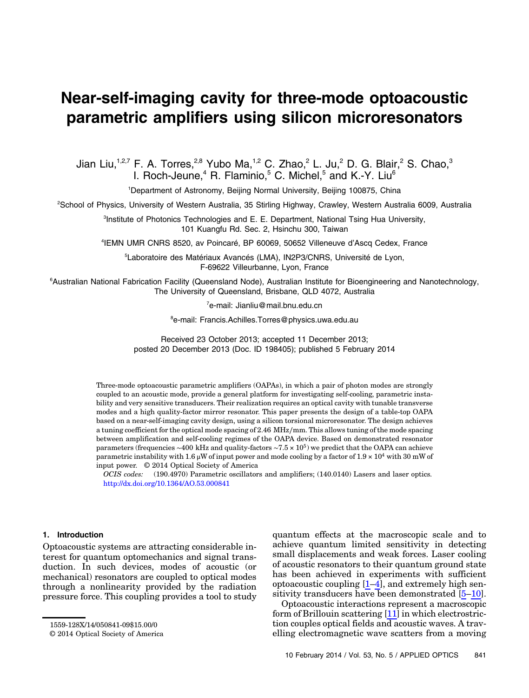# Near-self-imaging cavity for three-mode optoacoustic parametric amplifiers using silicon microresonators

Jian Liu,<sup>1,2,7</sup> F. A. Torres,<sup>2,8</sup> Yubo Ma,<sup>1,2</sup> C. Zhao,<sup>2</sup> L. Ju,<sup>2</sup> D. G. Blair,<sup>2</sup> S. Chao,<sup>3</sup> I. Roch-Jeune,<sup>4</sup> R. Flaminio,<sup>5</sup> C. Michel,<sup>5</sup> and K.-Y. Liu<sup>6</sup>

<sup>1</sup>Department of Astronomy, Beijing Normal University, Beijing 100875, China

2 School of Physics, University of Western Australia, 35 Stirling Highway, Crawley, Western Australia 6009, Australia

<sup>3</sup>Institute of Photonics Technologies and E. E. Department, National Tsing Hua University, 101 Kuangfu Rd. Sec. 2, Hsinchu 300, Taiwan

4 IEMN UMR CNRS 8520, av Poincaré, BP 60069, 50652 Villeneuve d*'*Ascq Cedex, France

<sup>5</sup>Laboratoire des Matériaux Avancés (LMA), IN2P3/CNRS, Université de Lyon, F-69622 Villeurbanne, Lyon, France

6 Australian National Fabrication Facility (Queensland Node), Australian Institute for Bioengineering and Nanotechnology, The University of Queensland, Brisbane, QLD 4072, Australia

7 e-mail: Jianliu@mail.bnu.edu.cn

8 e-mail: Francis.Achilles.Torres@physics.uwa.edu.au

Received 23 October 2013; accepted 11 December 2013; posted 20 December 2013 (Doc. ID 198405); published 5 February 2014

Three-mode optoacoustic parametric amplifiers (OAPAs), in which a pair of photon modes are strongly coupled to an acoustic mode, provide a general platform for investigating self-cooling, parametric instability and very sensitive transducers. Their realization requires an optical cavity with tunable transverse modes and a high quality-factor mirror resonator. This paper presents the design of a table-top OAPA based on a near-self-imaging cavity design, using a silicon torsional microresonator. The design achieves a tuning coefficient for the optical mode spacing of 2.46 MHz∕mm. This allows tuning of the mode spacing between amplification and self-cooling regimes of the OAPA device. Based on demonstrated resonator parameters (frequencies ∼400 kHz and quality-factors ∼7.5 × 10<sup>5</sup>) we predict that the OAPA can achieve parametric instability with 1.6 μW of input power and mode cooling by a factor of  $1.9 \times 10^4$  with 30 mW of input power. © 2014 Optical Society of America

OCIS codes: (190.4970) Parametric oscillators and amplifiers; (140.0140) Lasers and laser optics. <http://dx.doi.org/10.1364/AO.53.000841>

### 1. Introduction

Optoacoustic systems are attracting considerable interest for quantum optomechanics and signal transduction. In such devices, modes of acoustic (or mechanical) resonators are coupled to optical modes through a nonlinearity provided by the radiation pressure force. This coupling provides a tool to study quantum effects at the macroscopic scale and to achieve quantum limited sensitivity in detecting small displacements and weak forces. Laser cooling of acoustic resonators to their quantum ground state has been achieved in experiments with sufficient optoacoustic coupling  $[1-4]$  $[1-4]$  $[1-4]$  $[1-4]$ , and extremely high sensitivity transducers have been demonstrated [\[5](#page-7-2)–[10](#page-7-3)].

Optoacoustic interactions represent a macroscopic form of Brillouin scattering [[11\]](#page-7-4) in which electrostriction couples optical fields and acoustic waves. A travelling electromagnetic wave scatters from a moving

<sup>1559-128</sup>X/14/050841-09\$15.00/0

<sup>© 2014</sup> Optical Society of America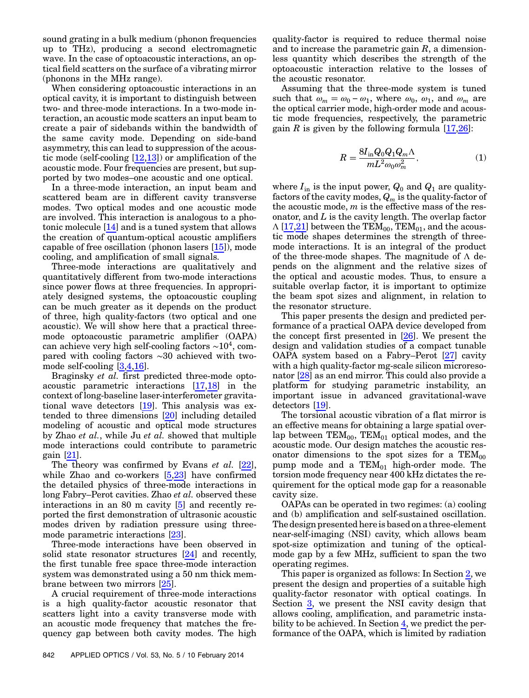sound grating in a bulk medium (phonon frequencies up to THz), producing a second electromagnetic wave. In the case of optoacoustic interactions, an optical field scatters on the surface of a vibrating mirror (phonons in the MHz range).

When considering optoacoustic interactions in an optical cavity, it is important to distinguish between two- and three-mode interactions. In a two-mode interaction, an acoustic mode scatters an input beam to create a pair of sidebands within the bandwidth of the same cavity mode. Depending on side-band asymmetry, this can lead to suppression of the acoustic mode (self-cooling [\[12](#page-7-5),[13\]](#page-7-6)) or amplification of the acoustic mode. Four frequencies are present, but supported by two modes–one acoustic and one optical.

In a three-mode interaction, an input beam and scattered beam are in different cavity transverse modes. Two optical modes and one acoustic mode are involved. This interaction is analogous to a photonic molecule [\[14](#page-7-7)] and is a tuned system that allows the creation of quantum-optical acoustic amplifiers capable of free oscillation (phonon lasers [\[15](#page-7-8)]), mode cooling, and amplification of small signals.

Three-mode interactions are qualitatively and quantitatively different from two-mode interactions since power flows at three frequencies. In appropriately designed systems, the optoacoustic coupling can be much greater as it depends on the product of three, high quality-factors (two optical and one acoustic). We will show here that a practical threemode optoacoustic parametric amplifier (OAPA) can achieve very high self-cooling factors  $\sim 10^4$ , compared with cooling factors ∼30 achieved with twomode self-cooling [\[3,](#page-7-9)[4,](#page-7-1)[16\]](#page-7-10).

Braginsky et al. first predicted three-mode optoacoustic parametric interactions [\[17](#page-7-11),[18\]](#page-7-12) in the context of long-baseline laser-interferometer gravitational wave detectors [[19\]](#page-7-13). This analysis was extended to three dimensions [\[20](#page-7-14)] including detailed modeling of acoustic and optical mode structures by Zhao et al., while Ju et al. showed that multiple mode interactions could contribute to parametric gain [[21\]](#page-7-15).

The theory was confirmed by Evans *et al.* [\[22](#page-7-16)], while Zhao and co-workers [\[5,](#page-7-2)[23](#page-7-17)] have confirmed the detailed physics of three-mode interactions in long Fabry–Perot cavities. Zhao et al. observed these interactions in an 80 m cavity [[5](#page-7-2)] and recently reported the first demonstration of ultrasonic acoustic modes driven by radiation pressure using threemode parametric interactions [\[23](#page-7-17)].

Three-mode interactions have been observed in solid state resonator structures [\[24](#page-7-18)] and recently, the first tunable free space three-mode interaction system was demonstrated using a 50 nm thick membrane between two mirrors [\[25](#page-7-19)].

A crucial requirement of three-mode interactions is a high quality-factor acoustic resonator that scatters light into a cavity transverse mode with an acoustic mode frequency that matches the frequency gap between both cavity modes. The high

quality-factor is required to reduce thermal noise and to increase the parametric gain  $R$ , a dimensionless quantity which describes the strength of the optoacoustic interaction relative to the losses of the acoustic resonator.

<span id="page-1-0"></span>Assuming that the three-mode system is tuned optoacoustic interaction relative to the losses of<br>the acoustic resonator.<br>Assuming that the three-mode system is tuned<br>such that  $\omega_m = \omega_0 - \omega_1$ , where  $\omega_0$ ,  $\omega_1$ , and  $\omega_m$  are the optical carrier mode, high-order mode and acoustic mode frequencies, respectively, the parametric gain R is given by the following formula  $[17,26]$  $[17,26]$  $[17,26]$ :

$$
R = \frac{8I_{\rm in}Q_0Q_1Q_m\Lambda}{mL^2\omega_0\omega_m^2},\tag{1}
$$

where  $I_{\text{in}}$  is the input power,  $Q_0$  and  $Q_1$  are qualityfactors of the cavity modes,  $Q_m$  is the quality-factor of the acoustic mode,  $m$  is the effective mass of the resonator, and  $L$  is the cavity length. The overlap factor  $\Lambda$  [[17](#page-7-11)[,21\]](#page-7-15) between the TEM<sub>00</sub>, TEM<sub>01</sub>, and the acoustic mode shapes determines the strength of threemode interactions. It is an integral of the product of the three-mode shapes. The magnitude of  $\Lambda$  depends on the alignment and the relative sizes of the optical and acoustic modes. Thus, to ensure a suitable overlap factor, it is important to optimize the beam spot sizes and alignment, in relation to the resonator structure.

This paper presents the design and predicted performance of a practical OAPA device developed from the concept first presented in [[26\]](#page-7-20). We present the design and validation studies of a compact tunable OAPA system based on a Fabry–Perot [\[27](#page-7-21)] cavity with a high quality-factor mg-scale silicon microresonator [[28\]](#page-7-22) as an end mirror. This could also provide a platform for studying parametric instability, an important issue in advanced gravitational-wave detectors [[19\]](#page-7-13).

The torsional acoustic vibration of a flat mirror is an effective means for obtaining a large spatial overlap between  $TEM_{00}$ ,  $TEM_{01}$  optical modes, and the acoustic mode. Our design matches the acoustic resonator dimensions to the spot sizes for a  $TEM_{00}$ pump mode and a  $TEM_{01}$  high-order mode. The torsion mode frequency near 400 kHz dictates the requirement for the optical mode gap for a reasonable cavity size.

OAPAs can be operated in two regimes: (a) cooling and (b) amplification and self-sustained oscillation. The design presented here is based on a three-element near-self-imaging (NSI) cavity, which allows beam spot-size optimization and tuning of the opticalmode gap by a few MHz, sufficient to span the two operating regimes.

This paper is organized as follows: In Section [2](#page-2-0), we present the design and properties of a suitable high quality-factor resonator with optical coatings. In Section [3](#page-3-0), we present the NSI cavity design that allows cooling, amplification, and parametric insta-bility to be achieved. In Section [4,](#page-5-0) we predict the performance of the OAPA, which is limited by radiation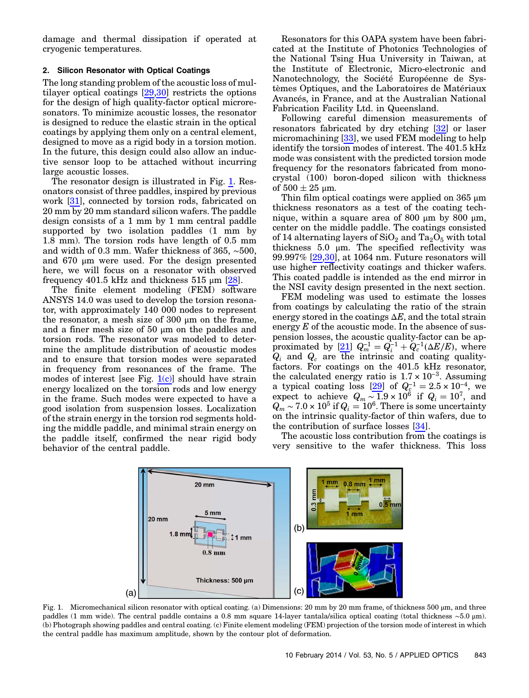damage and thermal dissipation if operated at cryogenic temperatures.

## <span id="page-2-0"></span>2. Silicon Resonator with Optical Coatings

The long standing problem of the acoustic loss of multilayer optical coatings [[29,](#page-7-23)[30\]](#page-7-24) restricts the options for the design of high quality-factor optical microresonators. To minimize acoustic losses, the resonator is designed to reduce the elastic strain in the optical coatings by applying them only on a central element, designed to move as a rigid body in a torsion motion. In the future, this design could also allow an inductive sensor loop to be attached without incurring large acoustic losses.

The resonator design is illustrated in Fig. [1.](#page-2-1) Resonators consist of three paddles, inspired by previous work [\[31](#page-7-25)], connected by torsion rods, fabricated on 20 mm by 20 mm standard silicon wafers. The paddle design consists of a 1 mm by 1 mm central paddle supported by two isolation paddles (1 mm by 1.8 mm). The torsion rods have length of 0.5 mm and width of 0.3 mm. Wafer thickness of 365, ∼500, and 670 μm were used. For the design presented here, we will focus on a resonator with observed frequency 401.5 kHz and thickness  $515 \mu m$  [[28\]](#page-7-22).

The finite element modeling (FEM) software ANSYS 14.0 was used to develop the torsion resonator, with approximately 140 000 nodes to represent the resonator, a mesh size of 300 μm on the frame, and a finer mesh size of 50  $\mu$ m on the paddles and torsion rods. The resonator was modeled to determine the amplitude distribution of acoustic modes and to ensure that torsion modes were separated in frequency from resonances of the frame. The modes of interest [see Fig.  $1(c)$ ] should have strain energy localized on the torsion rods and low energy in the frame. Such modes were expected to have a good isolation from suspension losses. Localization of the strain energy in the torsion rod segments holding the middle paddle, and minimal strain energy on the paddle itself, confirmed the near rigid body behavior of the central paddle.

Resonators for this OAPA system have been fabricated at the Institute of Photonics Technologies of the National Tsing Hua University in Taiwan, at the Institute of Electronic, Micro-electronic and Nanotechnology, the Société Européenne de Systèmes Optiques, and the Laboratoires de Matériaux Avancés, in France, and at the Australian National Fabrication Facility Ltd. in Queensland.

Following careful dimension measurements of resonators fabricated by dry etching [[32\]](#page-7-26) or laser micromachining [[33](#page-7-27)], we used FEM modeling to help identify the torsion modes of interest. The 401.5 kHz mode was consistent with the predicted torsion mode frequency for the resonators fabricated from monocrystal (100) boron-doped silicon with thickness of  $500 \pm 25$  µm.

Thin film optical coatings were applied on 365 μm thickness resonators as a test of the coating technique, within a square area of 800 μm by 800 μm, center on the middle paddle. The coatings consisted of 14 alternating layers of  $SiO_2$  and  $Ta_2O_5$  with total thickness 5.0 μm. The specified reflectivity was 99.997% [[29,](#page-7-23)[30\]](#page-7-24), at 1064 nm. Future resonators will use higher reflectivity coatings and thicker wafers. This coated paddle is intended as the end mirror in the NSI cavity design presented in the next section.

FEM modeling was used to estimate the losses from coatings by calculating the ratio of the strain energy stored in the coatings  $\Delta E$ , and the total strain energy  $E$  of the acoustic mode. In the absence of suspension losses, the acoustic quality-factor can be apenergy *E* of the acoustic mode. In the absence of sus-<br>pension losses, the acoustic quality-factor can be ap-<br>proximated by  $[21]$  $[21]$   $Q_m^{-1} = Q_i^{-1} + Q_c^{-1}(\Delta E/E)$ , where  $Q_i$  and  $Q_c$  are the intrinsic and coating quality-<br>factors. For coatings on the 401.5 kHz resonator,<br>the calculated energy ratio is  $1.7 \times 10^{-3}$ . Assuming factors. For coatings on the 401.5 kHz resonator, the calculated energy ratio is  $1.7 \times 10^{-3}$ . Assuming factors. For coatings on the 401.5 kHz resonator,<br>the calculated energy ratio is  $1.7 \times 10^{-3}$ . Assuming<br>a typical coating loss [\[29](#page-7-23)] of  $Q_c^{-1} = 2.5 \times 10^{-4}$ , we expect to achieve  $Q_m \sim 1.9 \times 10^6$  if  $Q_i = 10^7$ , and  $Q_m \sim 7.0 \times 10^5 \text{ if } Q_i = 10^6. \text{ There is some uncertainty}$ on the intrinsic quality-factor of thin wafers, due to the contribution of surface losses [\[34](#page-8-0)].

The acoustic loss contribution from the coatings is very sensitive to the wafer thickness. This loss

<span id="page-2-1"></span>

Fig. 1. Micromechanical silicon resonator with optical coating. (a) Dimensions: 20 mm by 20 mm frame, of thickness 500 μm, and three paddles (1 mm wide). The central paddle contains a 0.8 mm square 14-layer tantala/silica optical coating (total thickness ∼5.0 μm). (b) Photograph showing paddles and central coating. (c) Finite element modeling (FEM) projection of the torsion mode of interest in which the central paddle has maximum amplitude, shown by the contour plot of deformation.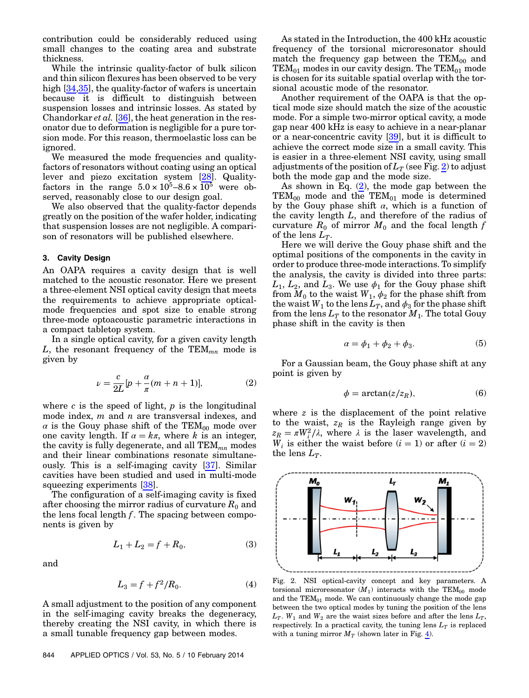contribution could be considerably reduced using small changes to the coating area and substrate thickness.

While the intrinsic quality-factor of bulk silicon and thin silicon flexures has been observed to be very high [\[34](#page-8-0)[,35](#page-8-1)], the quality-factor of wafers is uncertain because it is difficult to distinguish between suspension losses and intrinsic losses. As stated by Chandorkar *et al.* [[36\]](#page-8-2), the heat generation in the resonator due to deformation is negligible for a pure torsion mode. For this reason, thermoelastic loss can be ignored.

We measured the mode frequencies and qualityfactors of resonators without coating using an optical lever and piezo excitation system [\[28](#page-7-22)]. Qualityfactors in the range  $5.0 \times 10^5$ –8.6  $\times 10^5$  were observed, reasonably close to our design goal.

We also observed that the quality-factor depends greatly on the position of the wafer holder, indicating that suspension losses are not negligible. A comparison of resonators will be published elsewhere.

#### <span id="page-3-0"></span>3. Cavity Design

An OAPA requires a cavity design that is well matched to the acoustic resonator. Here we present a three-element NSI optical cavity design that meets the requirements to achieve appropriate opticalmode frequencies and spot size to enable strong three-mode optoacoustic parametric interactions in a compact tabletop system.

<span id="page-3-2"></span>In a single optical cavity, for a given cavity length L, the resonant frequency of the  $TEM_{mn}$  mode is given by

$$
\nu = \frac{c}{2L} [p + \frac{\alpha}{\pi} (m+n+1)],\tag{2}
$$

where  $c$  is the speed of light,  $p$  is the longitudinal mode index,  $m$  and  $n$  are transversal indexes, and  $\alpha$  is the Gouy phase shift of the TEM<sub>00</sub> mode over one cavity length. If  $\alpha = k\pi$ , where k is an integer, the cavity is fully degenerate, and all  $TEM_{mn}$  modes and their linear combinations resonate simultaneously. This is a self-imaging cavity [[37\]](#page-8-3). Similar cavities have been studied and used in multi-mode squeezing experiments [[38\]](#page-8-4).

The configuration of a self-imaging cavity is fixed after choosing the mirror radius of curvature  $R_0$  and the lens focal length  $f$ . The spacing between components is given by

$$
L_1 + L_2 = f + R_0,\t\t(3)
$$

<span id="page-3-3"></span>and

$$
L_3 = f + f^2/R_0.
$$
 (4)

A small adjustment to the position of any component in the self-imaging cavity breaks the degeneracy, thereby creating the NSI cavity, in which there is a small tunable frequency gap between modes.

844 APPLIED OPTICS / Vol. 53, No. 5 / 10 February 2014

As stated in the Introduction, the 400 kHz acoustic frequency of the torsional microresonator should match the frequency gap between the  $TEM_{00}$  and  $TEM_{01}$  modes in our cavity design. The  $TEM_{01}$  mode is chosen for its suitable spatial overlap with the torsional acoustic mode of the resonator.

Another requirement of the OAPA is that the optical mode size should match the size of the acoustic mode. For a simple two-mirror optical cavity, a mode gap near 400 kHz is easy to achieve in a near-planar or a near-concentric cavity [\[39](#page-8-5)], but it is difficult to achieve the correct mode size in a small cavity. This is easier in a three-element NSI cavity, using small adjustments of the position of  $L_T$  (see Fig. [2](#page-3-1)) to adjust both the mode gap and the mode size.

As shown in Eq.  $(2)$  $(2)$ , the mode gap between the  $TEM_{00}$  mode and the  $TEM_{01}$  mode is determined by the Gouy phase shift  $\alpha$ , which is a function of the cavity length L, and therefore of the radius of curvature  $R_0$  of mirror  $M_0$  and the focal length f of the lens  $L_T$ .

Here we will derive the Gouy phase shift and the optimal positions of the components in the cavity in order to produce three-mode interactions. To simplify the analysis, the cavity is divided into three parts:  $L_1, L_2$ , and  $L_3$ . We use  $\phi_1$  for the Gouy phase shift from  $M_0$  to the waist  $W_1$ ,  $\phi_2$  for the phase shift from the waist  $W_1$  to the lens  $L_T$ , and  $\phi_3$  for the phase shift from the lens  $L_T$  to the resonator  $M_1$ . The total Gouy phase shift in the cavity is then

$$
\alpha = \phi_1 + \phi_2 + \phi_3. \tag{5}
$$

For a Gaussian beam, the Gouy phase shift at any point is given by

$$
\phi = \arctan(z/z_R),\tag{6}
$$

<span id="page-3-1"></span>where  $z$  is the displacement of the point relative to the waist,  $z_R$  is the Rayleigh range given by  $z_R = \pi W_i^2 / \lambda$ , where  $\lambda$  is the laser wavelength, and  $W_i$  is either the waist before  $(i = 1)$  or after  $(i = 2)$ the lens  $L_T$ .

 $w_{1}$ 

L<sub>T</sub>

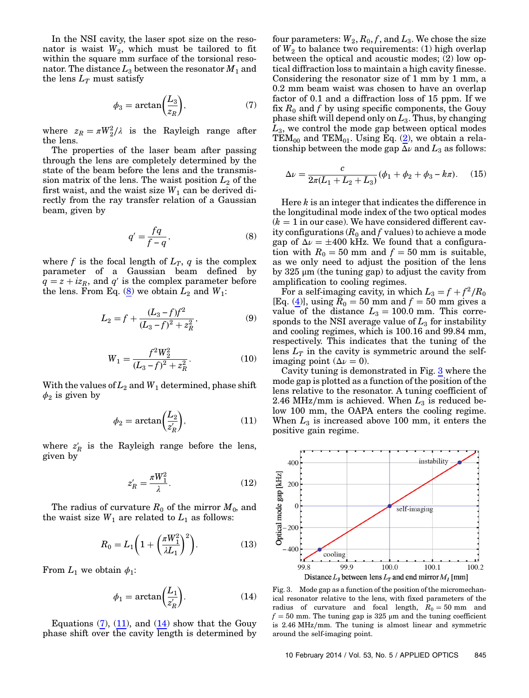<span id="page-4-1"></span>In the NSI cavity, the laser spot size on the resonator is waist  $W_2$ , which must be tailored to fit within the square mm surface of the torsional resonator. The distance  $L_3$  between the resonator  $M_1$  and the lens  $L_T$  must satisfy

$$
\phi_3 = \arctan\left(\frac{L_3}{z_R}\right),\tag{7}
$$

where  $z_R = \pi W_2^2/\lambda$  is the Rayleigh range after the lens.

<span id="page-4-0"></span>The properties of the laser beam after passing through the lens are completely determined by the state of the beam before the lens and the transmission matrix of the lens. The waist position  $L_2$  of the first waist, and the waist size  $W_1$  can be derived directly from the ray transfer relation of a Gaussian beam, given by

$$
q' = \frac{fq}{f-q},\tag{8}
$$

where f is the focal length of  $L_T$ , q is the complex parameter of a Gaussian beam defined by  $q = z + i z_R$ , and q' is the complex parameter before  $q = z + iz_R$ , and q is the complex parameter<br>the lens. From Eq. ([8](#page-4-0)) we obtain  $L_2$  and  $W_1$ :<br> $L_2 = f + \frac{(L_3 - f)f^2}{(L_3 - f)^2 + z^2}$ ,

$$
L_2 = f + \frac{(L_3 - f)f^2}{(L_3 - f)^2 + z_R^2},
$$
(9)

$$
W_1 = \frac{f^2 W_2^2}{(L_3 - f)^2 + z_R^2}.
$$
 (10)

<span id="page-4-2"></span>With the values of  $L_2$  and  $W_1$  determined, phase shift  $\phi_2$  is given by

$$
\phi_2 = \arctan\left(\frac{L_2}{z'_R}\right),\tag{11}
$$

where  $z'_R$  is the Rayleigh range before the lens, given by

$$
z_R' = \frac{\pi W_1^2}{\lambda}.
$$
\n(12)

The radius of curvature  $R_0$  of the mirror  $M_0$ , and the waist size  $W_1$  are related to  $L_1$  as follows:

$$
R_0 = L_1 \left( 1 + \left( \frac{\pi W_1^2}{\lambda L_1} \right)^2 \right). \tag{13}
$$

<span id="page-4-3"></span>From  $L_1$  we obtain  $\phi_1$ :

$$
\phi_1 = \arctan\left(\frac{L_1}{z'_R}\right). \tag{14}
$$

Equations  $(7)$ ,  $(11)$  $(11)$ , and  $(14)$  $(14)$  show that the Gouy phase shift over the cavity length is determined by four parameters:  $W_2$ ,  $R_0$ ,  $f$ , and  $L_3$ . We chose the size of  $W_2$  to balance two requirements: (1) high overlap between the optical and acoustic modes; (2) low optical diffraction loss to maintain a high cavity finesse. Considering the resonator size of 1 mm by 1 mm, a 0.2 mm beam waist was chosen to have an overlap factor of 0.1 and a diffraction loss of 15 ppm. If we fix  $R_0$  and f by using specific components, the Gouy phase shift will depend only on  $L_3$ . Thus, by changing  $L_3$ , we control the mode gap between optical modes TEM<sub>00</sub> and TEM<sub>01</sub>. Using Eq.  $(2)$ , we obtain a rela-

tionship between the mode gap 
$$
\overline{\Delta \nu}
$$
 and  $L_3$  as follows:  
\n
$$
\Delta \nu = \frac{c}{2\pi (L_1 + L_2 + L_3)} (\phi_1 + \phi_2 + \phi_3 - k\pi).
$$
 (15)

Here k is an integer that indicates the difference in the longitudinal mode index of the two optical modes  $(k = 1$  in our case). We have considered different cavity configurations  $(R_0$  and f values) to achieve a mode gap of  $\Delta \nu = \pm 400$  kHz. We found that a configuration with  $R_0 = 50$  mm and  $f = 50$  mm is suitable, as we only need to adjust the position of the lens by 325 μm (the tuning gap) to adjust the cavity from amplification to cooling regimes.

For a self-imaging cavity, in which  $L_3 = f + f^2/R_0$ [Eq.  $(\underline{4})$ ], using  $R_0 = 50$  mm and  $f = 50$  mm gives a value of the distance  $L_3 = 100.0$  mm. This corresponds to the NSI average value of  $L_3$  for instability and cooling regimes, which is 100.16 and 99.84 mm, respectively. This indicates that the tuning of the lens  $L_T$  in the cavity is symmetric around the selfimaging point ( $\Delta \nu = 0$ ).

Cavity tuning is demonstrated in Fig. [3](#page-4-4) where the mode gap is plotted as a function of the position of the lens relative to the resonator. A tuning coefficient of 2.46 MHz/mm is achieved. When  $L_3$  is reduced below 100 mm, the OAPA enters the cooling regime. When  $L_3$  is increased above 100 mm, it enters the positive gain regime.

<span id="page-4-4"></span>

Fig. 3. Mode gap as a function of the position of the micromechanical resonator relative to the lens, with fixed parameters of the radius of curvature and focal length,  $R_0 = 50$  mm and  $f = 50$  mm. The tuning gap is 325 µm and the tuning coefficient is 2.46 MHz∕mm. The tuning is almost linear and symmetric around the self-imaging point.

10 February 2014 / Vol. 53, No. 5 / APPLIED OPTICS 845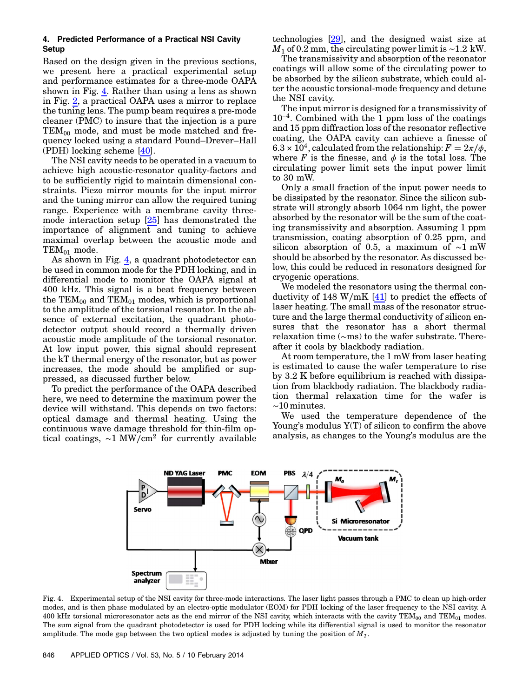## <span id="page-5-0"></span>4. Predicted Performance of a Practical NSI Cavity **Setup**

Based on the design given in the previous sections, we present here a practical experimental setup and performance estimates for a three-mode OAPA shown in Fig. [4.](#page-5-1) Rather than using a lens as shown in Fig. [2](#page-3-1), a practical OAPA uses a mirror to replace the tuning lens. The pump beam requires a pre-mode cleaner (PMC) to insure that the injection is a pure  $TEM_{00}$  mode, and must be mode matched and frequency locked using a standard Pound–Drever–Hall (PDH) locking scheme [[40\]](#page-8-6).

The NSI cavity needs to be operated in a vacuum to achieve high acoustic-resonator quality-factors and to be sufficiently rigid to maintain dimensional constraints. Piezo mirror mounts for the input mirror and the tuning mirror can allow the required tuning range. Experience with a membrane cavity threemode interaction setup [\[25](#page-7-19)] has demonstrated the importance of alignment and tuning to achieve maximal overlap between the acoustic mode and  $TEM_{01}$  mode.

As shown in Fig. [4,](#page-5-1) a quadrant photodetector can be used in common mode for the PDH locking, and in differential mode to monitor the OAPA signal at 400 kHz. This signal is a beat frequency between the  $TEM_{00}$  and  $TEM_{01}$  modes, which is proportional to the amplitude of the torsional resonator. In the absence of external excitation, the quadrant photodetector output should record a thermally driven acoustic mode amplitude of the torsional resonator. At low input power, this signal should represent the kT thermal energy of the resonator, but as power increases, the mode should be amplified or suppressed, as discussed further below.

To predict the performance of the OAPA described here, we need to determine the maximum power the device will withstand. This depends on two factors: optical damage and thermal heating. Using the continuous wave damage threshold for thin-film optical coatings, ∼1 MW∕cm<sup>2</sup> for currently available

technologies [\[29](#page-7-23)], and the designed waist size at  $M_1$  of 0.2 mm, the circulating power limit is ~1.2 kW.

The transmissivity and absorption of the resonator coatings will allow some of the circulating power to be absorbed by the silicon substrate, which could alter the acoustic torsional-mode frequency and detune the NSI cavity.

The input mirror is designed for a transmissivity of the NSI cavity.<br>
The input mirror is designed for a transmissivity of  $10^{-4}$ . Combined with the 1 ppm loss of the coatings and 15 ppm diffraction loss of the resonator reflective coating, the OAPA cavity can achieve a finesse of  $6.3 \times 10^4$ , calculated from the relationship:  $F = 2\pi/\phi$ , where  $F$  is the finesse, and  $\phi$  is the total loss. The circulating power limit sets the input power limit to 30 mW.

Only a small fraction of the input power needs to be dissipated by the resonator. Since the silicon substrate will strongly absorb 1064 nm light, the power absorbed by the resonator will be the sum of the coating transmissivity and absorption. Assuming 1 ppm transmission, coating absorption of 0.25 ppm, and silicon absorption of 0.5, a maximum of ∼1 mW should be absorbed by the resonator. As discussed below, this could be reduced in resonators designed for cryogenic operations.

We modeled the resonators using the thermal conductivity of 148 W/mK  $[41]$  $[41]$  to predict the effects of laser heating. The small mass of the resonator structure and the large thermal conductivity of silicon ensures that the resonator has a short thermal relaxation time (∼ms) to the wafer substrate. Thereafter it cools by blackbody radiation.

At room temperature, the 1 mW from laser heating is estimated to cause the wafer temperature to rise by 3.2 K before equilibrium is reached with dissipation from blackbody radiation. The blackbody radiation thermal relaxation time for the wafer is ∼10 minutes.

We used the temperature dependence of the Young's modulus Y(T) of silicon to confirm the above analysis, as changes to the Young's modulus are the

<span id="page-5-1"></span>

Fig. 4. Experimental setup of the NSI cavity for three-mode interactions. The laser light passes through a PMC to clean up high-order modes, and is then phase modulated by an electro-optic modulator (EOM) for PDH locking of the laser frequency to the NSI cavity. A 400 kHz torsional microresonator acts as the end mirror of the NSI cavity, which interacts with the cavity TEM<sub>00</sub> and TEM<sub>01</sub> modes. The sum signal from the quadrant photodetector is used for PDH locking while its differential signal is used to monitor the resonator amplitude. The mode gap between the two optical modes is adjusted by tuning the position of  $M_T$ .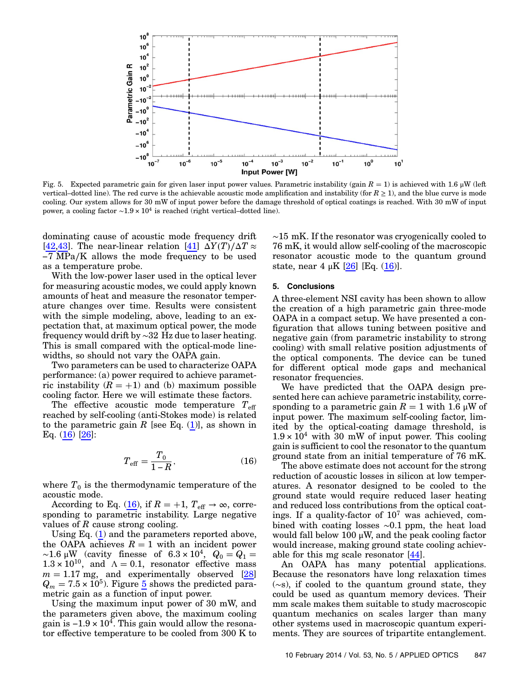<span id="page-6-1"></span>

Fig. 5. Expected parametric gain for given laser input power values. Parametric instability (gain  $R = 1$ ) is achieved with 1.6 µW (left vertical–dotted line). The red curve is the achievable acoustic mode amplification and instability (for  $R \ge 1$ ), and the blue curve is mode cooling. Our system allows for 30 mW of input power before the damage threshold of optical coatings is reached. With 30 mW of input power, a cooling factor  $\sim$ 1.9 × 10<sup>4</sup> is reached (right vertical–dotted line).

dominating cause of acoustic mode frequency drift [\[42](#page-8-8)[,43](#page-8-9)]. The near-linear relation [[41](#page-8-7)]  $\Delta Y(T)/\Delta T \approx$ 7 MPa∕K allows the mode frequency to be used as a temperature probe.

With the low-power laser used in the optical lever for measuring acoustic modes, we could apply known amounts of heat and measure the resonator temperature changes over time. Results were consistent with the simple modeling, above, leading to an expectation that, at maximum optical power, the mode frequency would drift by ∼32 Hz due to laser heating. This is small compared with the optical-mode linewidths, so should not vary the OAPA gain.

Two parameters can be used to characterize OAPA performance: (a) power required to achieve parametric instability  $(R = +1)$  and (b) maximum possible cooling factor. Here we will estimate these factors.

<span id="page-6-0"></span>The effective acoustic mode temperature  $T_{\text{eff}}$ reached by self-cooling (anti-Stokes mode) is related to the parametric gain R [see Eq.  $(1)$ ], as shown in Eq. [\(16](#page-6-0)) [\[26](#page-7-20)]:

$$
T_{\text{eff}} = \frac{T_0}{1 - R},\tag{16}
$$

where  $T_0$  is the thermodynamic temperature of the acoustic mode.

According to Eq. [\(16](#page-6-0)), if  $R = +1$ ,  $T_{\text{eff}} \rightarrow \infty$ , corresponding to parametric instability. Large negative values of  $R$  cause strong cooling.

Using Eq. [\(1\)](#page-1-0) and the parameters reported above, the OAPA achieves  $R = 1$  with an incident power ~1.6 µW (cavity finesse of  $6.3 \times 10^4$ ,  $Q_0 = Q_1 =$  $1.3 \times 10^{10}$ , and  $\Lambda = 0.1$ , resonator effective mass  $m = 1.17$  mg, and experimentally observed [[28\]](#page-7-22)  $Q_m = 7.5 \times 10^5$  $Q_m = 7.5 \times 10^5$  $Q_m = 7.5 \times 10^5$ . Figure 5 shows the predicted parametric gain as a function of input power.

Using the maximum input power of 30 mW, and the parameters given above, the maximum cooling metric gain as a function of input power.<br>Using the maximum input power of 30 mW, and<br>the parameters given above, the maximum cooling<br>gain is  $-1.9 \times 10^4$ . This gain would allow the resonator effective temperature to be cooled from 300 K to

∼15 mK. If the resonator was cryogenically cooled to 76 mK, it would allow self-cooling of the macroscopic resonator acoustic mode to the quantum ground state, near  $4 \mu K$  [\[26](#page-7-20)] [Eq. [\(16](#page-6-0))].

### 5. Conclusions

A three-element NSI cavity has been shown to allow the creation of a high parametric gain three-mode OAPA in a compact setup. We have presented a configuration that allows tuning between positive and negative gain (from parametric instability to strong cooling) with small relative position adjustments of the optical components. The device can be tuned for different optical mode gaps and mechanical resonator frequencies.

We have predicted that the OAPA design presented here can achieve parametric instability, corresponding to a parametric gain  $R = 1$  with 1.6  $\mu$ W of input power. The maximum self-cooling factor, limited by the optical-coating damage threshold, is  $1.9 \times 10^4$  with 30 mW of input power. This cooling gain is sufficient to cool the resonator to the quantum ground state from an initial temperature of 76 mK.

The above estimate does not account for the strong reduction of acoustic losses in silicon at low temperatures. A resonator designed to be cooled to the ground state would require reduced laser heating and reduced loss contributions from the optical coatings. If a quality-factor of  $10^7$  was achieved, combined with coating losses ∼0.1 ppm, the heat load would fall below 100  $\mu$ W, and the peak cooling factor would increase, making ground state cooling achievable for this mg scale resonator [\[44](#page-8-10)].

An OAPA has many potential applications. Because the resonators have long relaxation times (∼s), if cooled to the quantum ground state, they could be used as quantum memory devices. Their mm scale makes them suitable to study macroscopic quantum mechanics on scales larger than many other systems used in macroscopic quantum experiments. They are sources of tripartite entanglement.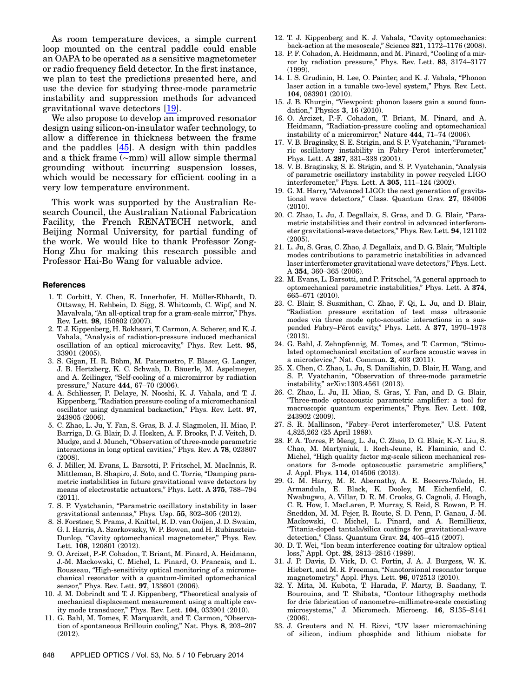As room temperature devices, a simple current loop mounted on the central paddle could enable an OAPA to be operated as a sensitive magnetometer or radio frequency field detector. In the first instance, we plan to test the predictions presented here, and use the device for studying three-mode parametric instability and suppression methods for advanced gravitational wave detectors [[19\]](#page-7-13).

We also propose to develop an improved resonator design using silicon-on-insulator wafer technology, to allow a difference in thickness between the frame and the paddles [[45\]](#page-8-11). A design with thin paddles and a thick frame (∼mm) will allow simple thermal grounding without incurring suspension losses, which would be necessary for efficient cooling in a very low temperature environment.

This work was supported by the Australian Research Council, the Australian National Fabrication Facility, the French RENATECH network, and Beijing Normal University, for partial funding of the work. We would like to thank Professor Zong-Hong Zhu for making this research possible and Professor Hai-Bo Wang for valuable advice.

#### <span id="page-7-0"></span>References

- 1. T. Corbitt, Y. Chen, E. Innerhofer, H. Müller-Ebhardt, D. Ottaway, H. Rehbein, D. Sigg, S. Whitcomb, C. Wipf, and N. Mavalvala, "An all-optical trap for a gram-scale mirror," Phys. Rev. Lett. 98, 150802 (2007).
- 2. T. J. Kippenberg, H. Rokhsari, T. Carmon, A. Scherer, and K. J. Vahala, "Analysis of radiation-pressure induced mechanical oscillation of an optical microcavity," Phys. Rev. Lett. <sup>95</sup>, 33901 (2005).
- <span id="page-7-9"></span>3. S. Gigan, H. R. Böhm, M. Paternostro, F. Blaser, G. Langer, J. B. Hertzberg, K. C. Schwab, D. Bäuerle, M. Aspelmeyer, and A. Zeilinger, "Self-cooling of a micromirror by radiation pressure," Nature <sup>444</sup>, 67–70 (2006).
- <span id="page-7-1"></span>4. A. Schliesser, P. Delaye, N. Nooshi, K. J. Vahala, and T. J. Kippenberg, "Radiation pressure cooling of a micromechanical oscillator using dynamical backaction," Phys. Rev. Lett. <sup>97</sup>, 243905 (2006).
- <span id="page-7-2"></span>5. C. Zhao, L. Ju, Y. Fan, S. Gras, B. J. J. Slagmolen, H. Miao, P. Barriga, D. G. Blair, D. J. Hosken, A. F. Brooks, P. J. Veitch, D. Mudge, and J. Munch, "Observation of three-mode parametric interactions in long optical cavities," Phys. Rev. A <sup>78</sup>, 023807 (2008).
- 6. J. Miller, M. Evans, L. Barsotti, P. Fritschel, M. MacInnis, R. Mittleman, B. Shapiro, J. Soto, and C. Torrie, "Damping parametric instabilities in future gravitational wave detectors by means of electrostatic actuators," Phys. Lett. A <sup>375</sup>, 788–<sup>794</sup>  $(2011).$
- 7. S. P. Vyatchanin, "Parametric oscillatory instability in laser gravitational antennas," Phys. Usp. <sup>55</sup>, 302–305 (2012).
- 8. S. Forstner, S. Prams, J. Knittel, E. D. van Ooijen, J. D. Swaim, G. I. Harris, A. Szorkovszky, W. P. Bowen, and H. Rubinsztein-Dunlop, "Cavity optomechanical magnetometer," Phys. Rev. Lett. 108, 120801 (2012).
- 9. O. Arcizet, P.-F. Cohadon, T. Briant, M. Pinard, A. Heidmann, J.-M. Mackowski, C. Michel, L. Pinard, O. Francais, and L. Rousseau, "High-sensitivity optical monitoring of a micromechanical resonator with a quantum-limited optomechanical sensor," Phys. Rev. Lett. <sup>97</sup>, 133601 (2006).
- <span id="page-7-4"></span><span id="page-7-3"></span>10. J. M. Dobrindt and T. J. Kippenberg, "Theoretical analysis of mechanical displacement measurement using a multiple cavity mode transducer," Phys. Rev. Lett. <sup>104</sup>, 033901 (2010).
- 11. G. Bahl, M. Tomes, F. Marquardt, and T. Carmon, "Observation of spontaneous Brillouin cooling," Nat. Phys. <sup>8</sup>, 203–<sup>207</sup> (2012).
- <span id="page-7-5"></span>12. T. J. Kippenberg and K. J. Vahala, "Cavity optomechanics: back-action at the mesoscale," Science <sup>321</sup>, 1172–1176 (2008).
- <span id="page-7-6"></span>13. P. F. Cohadon, A. Heidmann, and M. Pinard, "Cooling of a mirror by radiation pressure," Phys. Rev. Lett. <sup>83</sup>, 3174–<sup>3177</sup> (1999).
- <span id="page-7-7"></span>14. I. S. Grudinin, H. Lee, O. Painter, and K. J. Vahala, "Phonon laser action in a tunable two-level system," Phys. Rev. Lett. 104, 083901 (2010).
- <span id="page-7-8"></span>15. J. B. Khurgin, "Viewpoint: phonon lasers gain a sound foundation," Physics <sup>3</sup>, 16 (2010).
- <span id="page-7-10"></span>16. O. Arcizet, P.-F. Cohadon, T. Briant, M. Pinard, and A. Heidmann, "Radiation-pressure cooling and optomechanical instability of a micromirror," Nature 444, 71-74 (2006).
- <span id="page-7-11"></span>17. V. B. Braginsky, S. E. Strigin, and S. P. Vyatchanin, "Parametric oscillatory instability in Fabry–Perot interferometer," Phys. Lett. A <sup>287</sup>, 331–338 (2001).
- <span id="page-7-12"></span>18. V. B. Braginsky, S. E. Strigin, and S. P. Vyatchanin, "Analysis of parametric oscillatory instability in power recycled LIGO interferometer," Phys. Lett. A <sup>305</sup>, 111–124 (2002).
- <span id="page-7-13"></span>19. G. M. Harry, "Advanced LIGO: the next generation of gravitational wave detectors," Class. Quantum Grav. <sup>27</sup>, 084006 (2010).
- <span id="page-7-14"></span>20. C. Zhao, L. Ju, J. Degallaix, S. Gras, and D. G. Blair, "Parametric instabilities and their control in advanced interferometer gravitational-wave detectors," Phys. Rev. Lett. <sup>94</sup>, 121102 (2005).
- <span id="page-7-15"></span>21. L. Ju, S. Gras, C. Zhao, J. Degallaix, and D. G. Blair, "Multiple modes contributions to parametric instabilities in advanced laser interferometer gravitational wave detectors," Phys. Lett. <sup>A</sup> <sup>354</sup>, 360–365 (2006).
- <span id="page-7-16"></span>22. M. Evans, L. Barsotti, and P. Fritschel, "A general approach to optomechanical parametric instabilities," Phys. Lett. A <sup>374</sup>, <sup>665</sup>–671 (2010).
- <span id="page-7-17"></span>23. C. Blair, S. Susmithan, C. Zhao, F. Qi, L. Ju, and D. Blair, "Radiation pressure excitation of test mass ultrasonic modes via three mode opto-acoustic interactions in a suspended Fabry–Pérot cavity," Phys. Lett. A <sup>377</sup>, 1970–<sup>1973</sup> (2013).
- <span id="page-7-18"></span>24. G. Bahl, J. Zehnpfennig, M. Tomes, and T. Carmon, "Stimulated optomechanical excitation of surface acoustic waves in a microdevice," Nat. Commun. <sup>2</sup>, 403 (2011).
- <span id="page-7-19"></span>25. X. Chen, C. Zhao, L. Ju, S. Danilishin, D. Blair, H. Wang, and S. P. Vyatchanin, "Observation of three-mode parametric instability," arXiv:1303.4561 (2013).
- <span id="page-7-20"></span>26. C. Zhao, L. Ju, H. Miao, S. Gras, Y. Fan, and D. G. Blair, "Three-mode optoacoustic parametric amplifier: a tool for macroscopic quantum experiments," Phys. Rev. Lett. 102, 243902 (2009).
- <span id="page-7-21"></span>27. S. R. Mallinson, "Fabry–Perot interferometer," U.S. Patent 4,825,262 (25 April 1989).
- <span id="page-7-22"></span>28. F. A. Torres, P. Meng, L. Ju, C. Zhao, D. G. Blair, K.-Y. Liu, S. Chao, M. Martyniuk, I. Roch-Jeune, R. Flaminio, and C. Michel, "High quality factor mg-scale silicon mechanical resonators for 3-mode optoacoustic parametric amplifiers," J. Appl. Phys. 114, 014506 (2013).
- <span id="page-7-23"></span>29. G. M. Harry, M. R. Abernathy, A. E. Becerra-Toledo, H. Armandula, E. Black, K. Dooley, M. Eichenfield, C. Nwabugwu, A. Villar, D. R. M. Crooks, G. Cagnoli, J. Hough, C. R. How, I. MacLaren, P. Murray, S. Reid, S. Rowan, P. H. Sneddon, M. M. Fejer, R. Route, S. D. Penn, P. Ganau, J.-M. Mackowski, C. Michel, L. Pinard, and A. Remillieux, "Titania-doped tantala/silica coatings for gravitational-wave detection," Class. Quantum Grav. <sup>24</sup>, 405–415 (2007).
- <span id="page-7-24"></span>30. D. T. Wei, "Ion beam interference coating for ultralow optical loss," Appl. Opt. <sup>28</sup>, 2813–2816 (1989).
- <span id="page-7-25"></span>31. J. P. Davis, D. Vick, D. C. Fortin, J. A. J. Burgess, W. K. Hiebert, and M. R. Freeman, "Nanotorsional resonator torque magnetometry," Appl. Phys. Lett. <sup>96</sup>, 072513 (2010).
- <span id="page-7-26"></span>32. Y. Mita, M. Kubota, T. Harada, F. Marty, B. Saadany, T. Bourouina, and T. Shibata, "Contour lithography methods for drie fabrication of nanometre–millimetre-scale coexisting microsystems," J. Micromech. Microeng. <sup>16</sup>, S135–S141 (2006).
- <span id="page-7-27"></span>33. J. Greuters and N. H. Rizvi, "UV laser micromachining of silicon, indium phosphide and lithium niobate for